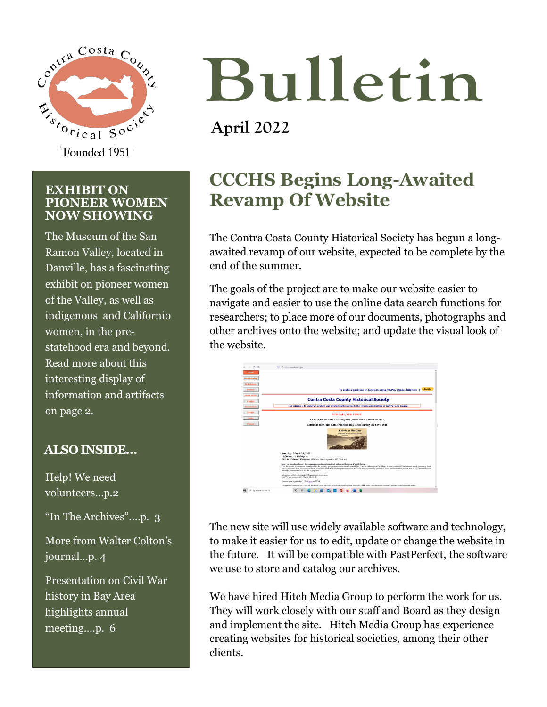

#### **EXHIBIT ON PIONEER WOMEN NOW SHOWING**

The Museum of the San Ramon Valley, located in Danville, has a fascinating exhibit on pioneer women of the Valley, as well as indigenous and Californio women, in the prestatehood era and beyond. Read more about this interesting display of information and artifacts on page 2.

#### **ALSO INSIDE…**

Help! We need volunteers…p.2 "In The Archives".…p. 3 More from Walter Colton's journal…p. 4 Presentation on Civil War history in Bay Area highlights annual meeting….p. 6

# **Bulletin**

# **April 2022**

## **CCCHS Begins Long-Awaited Revamp Of Website**

The Contra Costa County Historical Society has begun a longawaited revamp of our website, expected to be complete by the end of the summer.

The goals of the project are to make our website easier to navigate and easier to use the online data search functions for researchers; to place more of our documents, photographs and other archives onto the website; and update the visual look of the website.



The new site will use widely available software and technology, to make it easier for us to edit, update or change the website in the future. It will be compatible with PastPerfect, the software we use to store and catalog our archives.

We have hired Hitch Media Group to perform the work for us. They will work closely with our staff and Board as they design and implement the site. Hitch Media Group has experience creating websites for historical societies, among their other clients.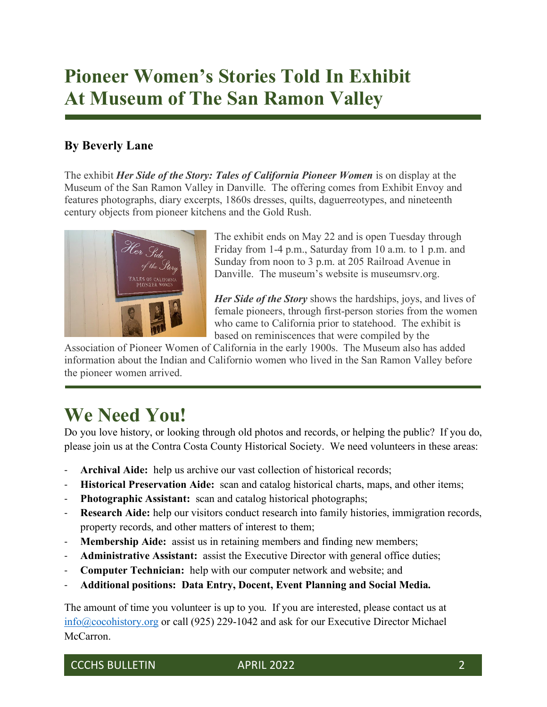## **Pioneer Women's Stories Told In Exhibit At Museum of The San Ramon Valley**

#### **By Beverly Lane**

The exhibit *Her Side of the Story: Tales of California Pioneer Women* is on display at the Museum of the San Ramon Valley in Danville. The offering comes from Exhibit Envoy and features photographs, diary excerpts, 1860s dresses, quilts, daguerreotypes, and nineteenth century objects from pioneer kitchens and the Gold Rush.



The exhibit ends on May 22 and is open Tuesday through Friday from 1-4 p.m., Saturday from 10 a.m. to 1 p.m. and Sunday from noon to 3 p.m. at 205 Railroad Avenue in Danville. The museum's website is museumsrv.org.

*Her Side of the Story* shows the hardships, joys, and lives of female pioneers, through first-person stories from the women who came to California prior to statehood. The exhibit is based on reminiscences that were compiled by the

Association of Pioneer Women of California in the early 1900s. The Museum also has added information about the Indian and Californio women who lived in the San Ramon Valley before the pioneer women arrived.

### **We Need You!**

Do you love history, or looking through old photos and records, or helping the public? If you do, please join us at the Contra Costa County Historical Society. We need volunteers in these areas:

- Archival Aide: help us archive our vast collection of historical records;
- **Historical Preservation Aide:** scan and catalog historical charts, maps, and other items;
- Photographic Assistant: scan and catalog historical photographs;
- **Research Aide:** help our visitors conduct research into family histories, immigration records, property records, and other matters of interest to them;
- **Membership Aide:** assist us in retaining members and finding new members;
- Administrative Assistant: assist the Executive Director with general office duties;
- **Computer Technician:** help with our computer network and website; and
- **Additional positions: Data Entry, Docent, Event Planning and Social Media.**

The amount of time you volunteer is up to you. If you are interested, please contact us at [info@cocohistory.org](mailto:info@cocohistory.org) or call (925) 229-1042 and ask for our Executive Director Michael McCarron.

CCCHS BULLETIN APRIL 2022 2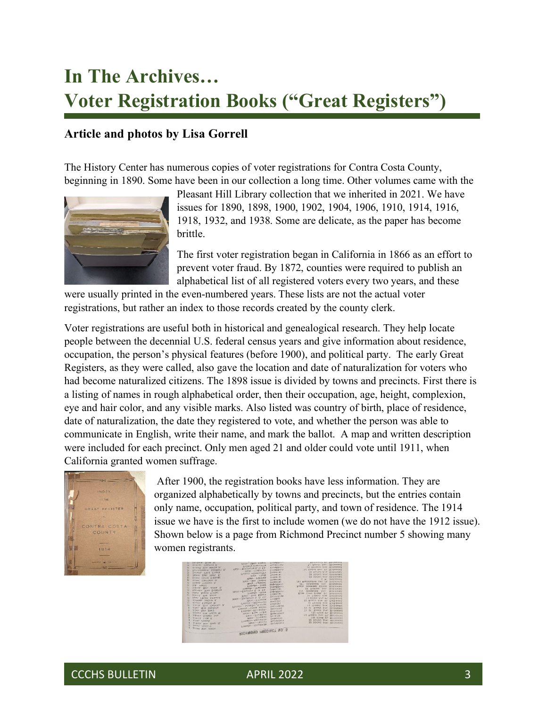## **In The Archives… Voter Registration Books ("Great Registers")**

#### **Article and photos by Lisa Gorrell**

The History Center has numerous copies of voter registrations for Contra Costa County, beginning in 1890. Some have been in our collection a long time. Other volumes came with the



Pleasant Hill Library collection that we inherited in 2021. We have issues for 1890, 1898, 1900, 1902, 1904, 1906, 1910, 1914, 1916, 1918, 1932, and 1938. Some are delicate, as the paper has become brittle.

The first voter registration began in California in 1866 as an effort to prevent voter fraud. By 1872, counties were required to publish an alphabetical list of all registered voters every two years, and these

were usually printed in the even-numbered years. These lists are not the actual voter registrations, but rather an index to those records created by the county clerk.

Voter registrations are useful both in historical and genealogical research. They help locate people between the decennial U.S. federal census years and give information about residence, occupation, the person's physical features (before 1900), and political party. The early Great Registers, as they were called, also gave the location and date of naturalization for voters who had become naturalized citizens. The 1898 issue is divided by towns and precincts. First there is a listing of names in rough alphabetical order, then their occupation, age, height, complexion, eye and hair color, and any visible marks. Also listed was country of birth, place of residence, date of naturalization, the date they registered to vote, and whether the person was able to communicate in English, write their name, and mark the ballot. A map and written description were included for each precinct. Only men aged 21 and older could vote until 1911, when California granted women suffrage.



After 1900, the registration books have less information. They are organized alphabetically by towns and precincts, but the entries contain only name, occupation, political party, and town of residence. The 1914 issue we have is the first to include women (we do not have the 1912 issue). Shown below is a page from Richmond Precinct number 5 showing many women registrants.



CCCHS BULLETIN APRIL 2022 3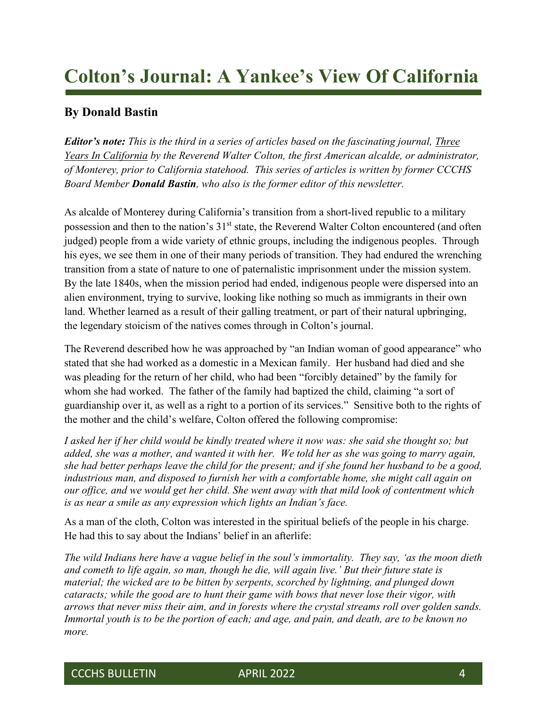## **Colton's Journal: A Yankee's View Of California**

#### **By Donald Bastin**

*Editor's note: This is the third in a series of articles based on the fascinating journal, Three Years In California by the Reverend Walter Colton, the first American alcalde, or administrator, of Monterey, prior to California statehood. This series of articles is written by former CCCHS Board Member Donald Bastin, who also is the former editor of this newsletter.*

As alcalde of Monterey during California's transition from a short-lived republic to a military possession and then to the nation's  $31<sup>st</sup>$  state, the Reverend Walter Colton encountered (and often judged) people from a wide variety of ethnic groups, including the indigenous peoples. Through his eyes, we see them in one of their many periods of transition. They had endured the wrenching transition from a state of nature to one of paternalistic imprisonment under the mission system. By the late 1840s, when the mission period had ended, indigenous people were dispersed into an alien environment, trying to survive, looking like nothing so much as immigrants in their own land. Whether learned as a result of their galling treatment, or part of their natural upbringing, the legendary stoicism of the natives comes through in Colton's journal.

The Reverend described how he was approached by "an Indian woman of good appearance" who stated that she had worked as a domestic in a Mexican family. Her husband had died and she was pleading for the return of her child, who had been "forcibly detained" by the family for whom she had worked. The father of the family had baptized the child, claiming "a sort of guardianship over it, as well as a right to a portion of its services." Sensitive both to the rights of the mother and the child's welfare, Colton offered the following compromise:

*I asked her if her child would be kindly treated where it now was: she said she thought so; but added, she was a mother, and wanted it with her. We told her as she was going to marry again, she had better perhaps leave the child for the present; and if she found her husband to be a good, industrious man, and disposed to furnish her with a comfortable home, she might call again on our office, and we would get her child. She went away with that mild look of contentment which is as near a smile as any expression which lights an Indian's face.* 

As a man of the cloth, Colton was interested in the spiritual beliefs of the people in his charge. He had this to say about the Indians' belief in an afterlife:

*The wild Indians here have a vague belief in the soul's immortality. They say, 'as the moon dieth and cometh to life again, so man, though he die, will again live.' But their future state is material; the wicked are to be bitten by serpents, scorched by lightning, and plunged down cataracts; while the good are to hunt their game with bows that never lose their vigor, with arrows that never miss their aim, and in forests where the crystal streams roll over golden sands. Immortal youth is to be the portion of each; and age, and pain, and death, are to be known no more.*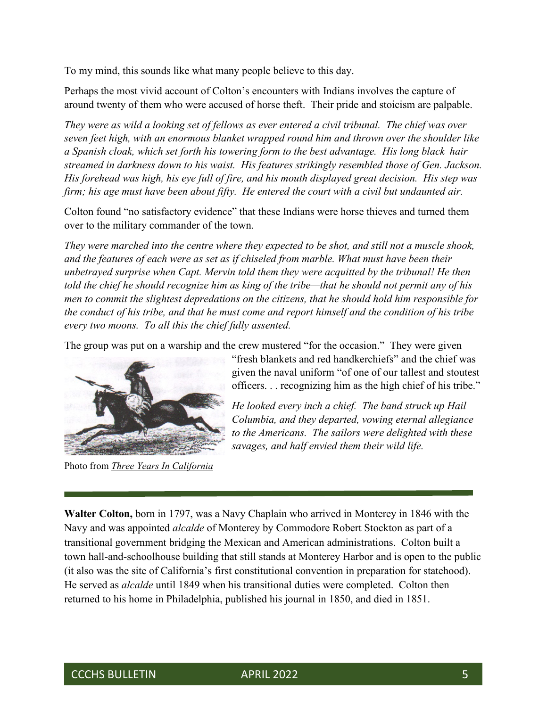To my mind, this sounds like what many people believe to this day.

Perhaps the most vivid account of Colton's encounters with Indians involves the capture of around twenty of them who were accused of horse theft. Their pride and stoicism are palpable.

*They were as wild a looking set of fellows as ever entered a civil tribunal. The chief was over seven feet high, with an enormous blanket wrapped round him and thrown over the shoulder like a Spanish cloak, which set forth his towering form to the best advantage. His long black hair streamed in darkness down to his waist. His features strikingly resembled those of Gen. Jackson. His forehead was high, his eye full of fire, and his mouth displayed great decision. His step was firm; his age must have been about fifty. He entered the court with a civil but undaunted air.* 

Colton found "no satisfactory evidence" that these Indians were horse thieves and turned them over to the military commander of the town.

*They were marched into the centre where they expected to be shot, and still not a muscle shook, and the features of each were as set as if chiseled from marble. What must have been their unbetrayed surprise when Capt. Mervin told them they were acquitted by the tribunal! He then told the chief he should recognize him as king of the tribe—that he should not permit any of his men to commit the slightest depredations on the citizens, that he should hold him responsible for the conduct of his tribe, and that he must come and report himself and the condition of his tribe every two moons. To all this the chief fully assented.*

The group was put on a warship and the crew mustered "for the occasion." They were given



Photo from *Three Years In California*

"fresh blankets and red handkerchiefs" and the chief was given the naval uniform "of one of our tallest and stoutest officers. . . recognizing him as the high chief of his tribe."

*He looked every inch a chief. The band struck up Hail Columbia, and they departed, vowing eternal allegiance to the Americans. The sailors were delighted with these savages, and half envied them their wild life.* 

**Walter Colton,** born in 1797, was a Navy Chaplain who arrived in Monterey in 1846 with the Navy and was appointed *alcalde* of Monterey by Commodore Robert Stockton as part of a transitional government bridging the Mexican and American administrations. Colton built a town hall-and-schoolhouse building that still stands at Monterey Harbor and is open to the public (it also was the site of California's first constitutional convention in preparation for statehood). He served as *alcalde* until 1849 when his transitional duties were completed. Colton then returned to his home in Philadelphia, published his journal in 1850, and died in 1851.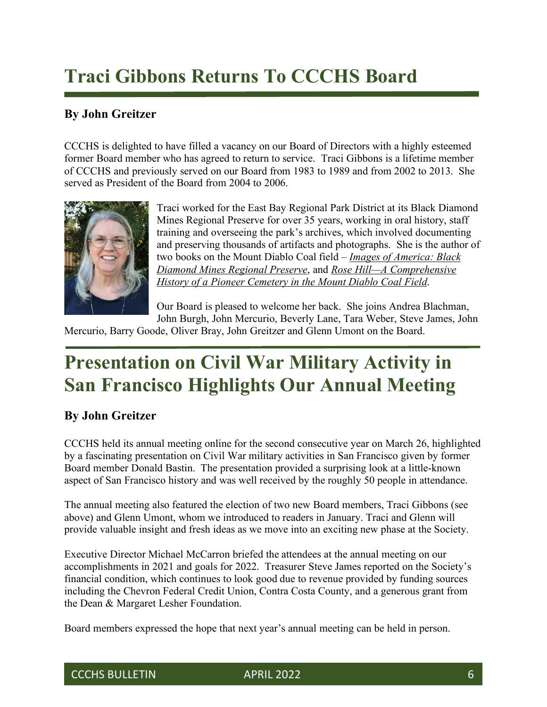# **Traci Gibbons Returns To CCCHS Board**

#### **By John Greitzer**

CCCHS is delighted to have filled a vacancy on our Board of Directors with a highly esteemed former Board member who has agreed to return to service. Traci Gibbons is a lifetime member of CCCHS and previously served on our Board from 1983 to 1989 and from 2002 to 2013. She served as President of the Board from 2004 to 2006.



Traci worked for the East Bay Regional Park District at its Black Diamond Mines Regional Preserve for over 35 years, working in oral history, staff training and overseeing the park's archives, which involved documenting and preserving thousands of artifacts and photographs. She is the author of two books on the Mount Diablo Coal field – *Images of America: Black Diamond Mines Regional Preserve*, and *Rose Hill—A Comprehensive History of a Pioneer Cemetery in the Mount Diablo Coal Field*.

Our Board is pleased to welcome her back. She joins Andrea Blachman, John Burgh, John Mercurio, Beverly Lane, Tara Weber, Steve James, John

Mercurio, Barry Goode, Oliver Bray, John Greitzer and Glenn Umont on the Board.

## **Presentation on Civil War Military Activity in San Francisco Highlights Our Annual Meeting**

#### **By John Greitzer**

CCCHS held its annual meeting online for the second consecutive year on March 26, highlighted by a fascinating presentation on Civil War military activities in San Francisco given by former Board member Donald Bastin. The presentation provided a surprising look at a little-known aspect of San Francisco history and was well received by the roughly 50 people in attendance.

The annual meeting also featured the election of two new Board members, Traci Gibbons (see above) and Glenn Umont, whom we introduced to readers in January. Traci and Glenn will provide valuable insight and fresh ideas as we move into an exciting new phase at the Society.

Executive Director Michael McCarron briefed the attendees at the annual meeting on our accomplishments in 2021 and goals for 2022. Treasurer Steve James reported on the Society's financial condition, which continues to look good due to revenue provided by funding sources including the Chevron Federal Credit Union, Contra Costa County, and a generous grant from the Dean & Margaret Lesher Foundation.

Board members expressed the hope that next year's annual meeting can be held in person.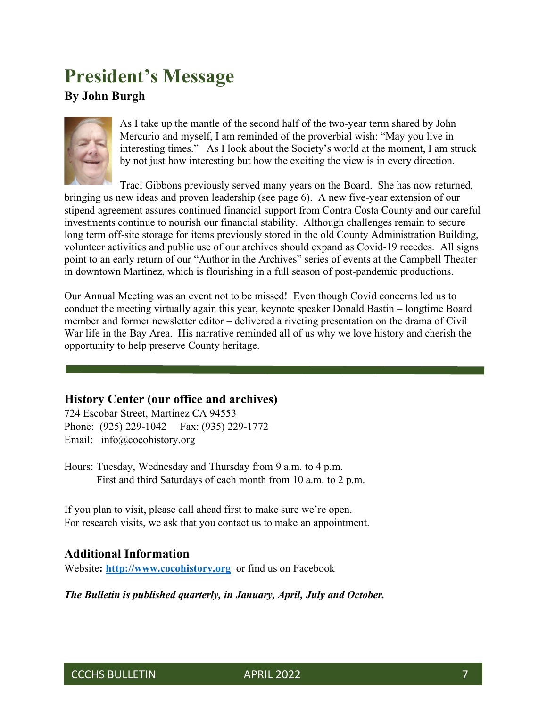## **President's Message**

#### **By John Burgh**



As I take up the mantle of the second half of the two-year term shared by John Mercurio and myself, I am reminded of the proverbial wish: "May you live in interesting times." As I look about the Society's world at the moment, I am struck by not just how interesting but how the exciting the view is in every direction.

Traci Gibbons previously served many years on the Board. She has now returned, bringing us new ideas and proven leadership (see page 6). A new five-year extension of our stipend agreement assures continued financial support from Contra Costa County and our careful investments continue to nourish our financial stability. Although challenges remain to secure long term off-site storage for items previously stored in the old County Administration Building, volunteer activities and public use of our archives should expand as Covid-19 recedes. All signs point to an early return of our "Author in the Archives" series of events at the Campbell Theater in downtown Martinez, which is flourishing in a full season of post-pandemic productions.

Our Annual Meeting was an event not to be missed! Even though Covid concerns led us to conduct the meeting virtually again this year, keynote speaker Donald Bastin – longtime Board member and former newsletter editor – delivered a riveting presentation on the drama of Civil War life in the Bay Area. His narrative reminded all of us why we love history and cherish the opportunity to help preserve County heritage.

#### **History Center (our office and archives)**

724 Escobar Street, Martinez CA 94553 Phone: (925) 229-1042 Fax: (935) 229-1772 Email: info@cocohistory.org

Hours: Tuesday, Wednesday and Thursday from 9 a.m. to 4 p.m. First and third Saturdays of each month from 10 a.m. to 2 p.m.

If you plan to visit, please call ahead first to make sure we're open. For research visits, we ask that you contact us to make an appointment.

#### **Additional Information**

Website**: [http://www.cocohistory.org](http://www.cocohistory.org/)** or find us on Facebook

*The Bulletin is published quarterly, in January, April, July and October.*